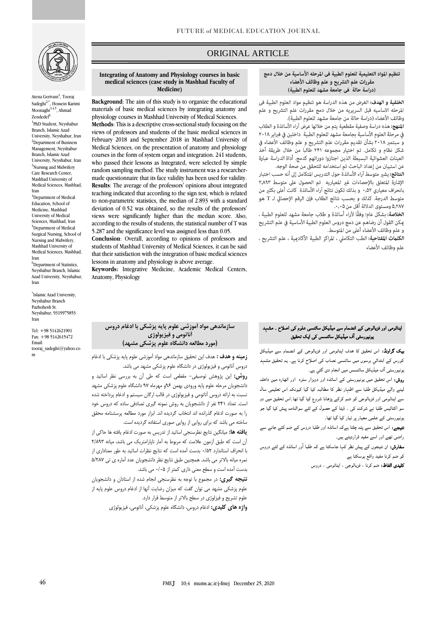

Atena Gerivani<sup>1</sup>, Tooraj Sadeghi2,\*, Hossein Karimi Moonaghi $3,4,5$ , Ahmad Zendedel<sup>6</sup>

1 PhD Student, Neyshabur Branch, Islamic Azad University, Neyshabur, Iran <sup>2</sup>Department of Business Management, Neyshabur Branch, Islamic Azad University, Neyshabur, Iran <sup>3</sup>Nursing and Midwifery Care Research Center, Mashhad University of Medical Sciences, Mashhad, Iran <sup>4</sup>Department of Medical

Education, School of Medicine, Mashhad University of Medical Sciences, Mashhad, Iran <sup>5</sup>Department of Medical Surgical Nursing, School of Nursing and Midwifery, Mashhad University of Medical Sciences, Mashhad, Iran <sup>6</sup>Department of Statistics, Neyshabur Branch, Islamic Azad University, Neyshabur, Iran

\* Islamic Azad University, Neyshabur Branch Pazhohesh St. Neyshabur, 9319975853 Iran

Tel: +98 5142621901 Fax: +98 5142615472 Email: tooraj\_sadeghi@yahoo.co m

# ORIGINAL ARTICLE

#### **Integrating of Anatomy and Physiology courses in basic medical sciences (case study in Mashhad Faculty of Medicine)**

**Background**: The aim of this study is to organize the educational materials of basic medical sciences by integrating anatomy and physiology courses in Mashhad University of Medical Sciences.

**Methods**: This is a descriptive cross-sectional study focusing on the views of professors and students of the basic medical sciences in February 2018 and September 2018 in Mashhad University of Medical Sciences, on the presentation of anatomy and physiology courses in the form of system organ and integration. 241 students, who passed their lessons as Integrated, were selected by simple random sampling method. The study instrument was a researchermade questionnaire that its face validity has been used for validity. **Results**: The average of the professors' opinions about integrated teaching indicated that according to the sign test, which is related to non-parametric statistics, the median of 2.893 with a standard deviation of 0.52 was obtained, so the results of the professors' views were significantly higher than the median score. Also, according to the results of students, the statistical number of T was 5.287 and the significance level was assigned less than 0.05.

**Conclusion**: Overall, according to opinions of professors and students of Mashhad University of Medical Sciences, it can be said that their satisfaction with the integration of basic medical sciences lessons in anatomy and physiology is above average.

**Keywords:** Integrative Medicine, Academic Medical Centers, Anatomy, Physiology

#### تنظيم المواد التعليمية للعلوم الطبية في المرحله الأساسية من خلال دمج مقررات علم التشريح و علم وظائف الأعضاء (دراسة حالة ٰ فى جامعة مشهد للعلوم الطبية)

ص

**الخلفية و الهدف:** الغرض من هذه الدراسة هو تنظيم مواد العلوم الطبية في المرحله الاساسيه قبل السريريه من خلال دمج مقررات علم التشريح و علم وظائف الأعضاء (دراسة حالة من جامعة مشهد للعلوم الطبية).

ا**لمنهج:** هذه دراسة وصفية مقطعية يتم من خلالها عرض آراء الأساتذة و الطلاب في مرحلة العلوم الأساسية بجامعة مشهد للعلوم الطبية "داخلين في فبراير ٢٠١٨ و سبتمبر ٢٠١٨ بشأن تقديم مقررات علم التشريح و علم وظائف الأعضاء في شكل نظام و تكامل. تم اختيار مجموعه ٢۴١ طالبًا من خلال طريقة أخذ العينات العشوائية البسيطة الذين اجتازوا دوراتهم كدمج. أداة الدراسة عبارة عن استبيان من إعداد الباحث تم استخدامه للتحقق من صحة الوجه.

**النتائج:** يش<sub>ت</sub>ر متوسط آراء الأساتذة حول التدريس المتكامل إلى أنه حسب اختبار الإشارة المتعلق بالإحصاءات غير المعياريه تم الحصول على متوسط ٢,٨٩٣ بانحراف معياري ٥٢.٠ و بذلك تكون نتائج آراء الأساتذة كانت أعلى بكثير من متوسط الدرجة. كذلك و بحسب نتائج الطلاب فإن الرقم الإحصائي لـ T هو ۵٫۲۸۷ ومستوى الدلالة أقل من ۰٫۰۵.

**الخلاصة:** بشكل عام؛ وفقًا لآراء أساتذة و طلاب جامعة مشهد للعلوم الطبية ، عكن القول أن رضاهم عن دمج دروس العلوم الطبية الأساسية في علم التشريح و علم وظائف الأعضاء أعلى من المتوسط.

الكلمات المفتاحية: الطب التكاملي ، المراكز الطبية الأكادمية ، علم التشريح ، علم وظائف الأعضاء

# ایناٹومی اور فزیالوجی کے انضمام سے میڈیکل سائنسی علوم کی اصلاح ۔ مشہد یونیورسٹی آف میڈیکل سائنسس کی ایک تحقیق

بیک گراونڈ: اس تحقیق کا ھدف ایناٹومی اور فزیالوجی کے انضمام سے میڈیکل کورس کے ابتدائي برسوں میں سائنسی نصاب کی اصلاح کرنا ہے۔ یہ تحقیق مشہد یونیورسٹی ا ف میڈیکل سائںسس میں انجام دی گئي ہے۔

روش: اس تحقیق میں یونیورسٹی کے اساتذہ اور دوہزار سترہ اور اٹھارہ مین داخلہ لینے والے میڈیکل طلبا سے اظہار نظر کا مطالبہ کیا گيا کیونکہ اس تعلیمی سال سے ایناٹومی اور فزیالوجی کو ضم کرکے پڑھانا شروع کیا گيا تھا۔اس تحقیق میں دو سو اکتالیس طلبا نے شرکت کی ۔ ڈیٹا کے حصول کے لئے سوالنامہ پیش کیا گيا جو یونیورسٹی کے علمی معیار پر تیار کیا گيا تھا۔

نتیجے: اس تحقیق سے پتہ چلتا ہےکہ اساتذہ اور طلبا دروس کے ضم کئے جانے سے راضی تھے اور اسے مفید قراردیتے ہیں۔

سفارش: ان نتیجوں کے پیش نظر کہا جاسکتا ہے کہ طلبا ا ور اساتذہ کے لئے دروس کو ضم کرنا مفید واقع ہوسکتا ہے

کلیدی الفاظ: ضم کرنا ، فزیالوجی ، ایناٹومی ، دروس

## **سازماندهی مواد آموزشی علوم پایه پزشکی با ادغام دروس آناتومی و فیزیولوژی )مورد مطالعه دانشگاه علوم پزشکی مشهد(**

**زمینه و هدف :** هدف این تحقیق سازماندهی مواد آموزشی علوم پایه پزشکی با ادغام دروس آناتومی و فیزیولوژی در دانشگاه علوم پزشکی مشهد می باشد. **روش:** این پژوهش توصیفی- مقطعی است که طی آن به بررسی نظر اساتید و دانشجویان مرحله علوم پایه ورودی بهمن 96و مهرماه 97 دانشگاه علوم پزشکی مشهد نسبت به ارائه دروس آناتومی و فیزیولوژی در قالب ارگان سیستم و ادغام پرداخته شده است. تعداد 241 نفر از دانشجویان به روش نمونه گیری تصادفی ساده که دروس خود را به صورت ادغام گذرانده اند انتخاب گردیده اند. ابزار مورد مطالعه پرسشنامه محقق ساخته می باشد که برای روایی از روایی صوری استفاده گردیده است.

**یافته ها:** میانگین نتایج نظرسنجی اساتید از تدریس به صورت ادغام یافته ها حاکی از آن است که طبق آزمون عالمت که مربوط به آمار ناپارامتریک می باشد، میانه 2/893 با انحراف استاندارد 0/52 بدست آمده است که نتایج نظرات اساتید به طور معناداری از نمره میانه باالتر می باشد. همچنین طبق نتایج نظر دانشجویان عدد آماره ی تی 5/287 بدست آمده است و سطح معنی داری کمتر از 0/05 می باشد.

**نتیجه گیری:** در مجموع با توجه به نظرسنجی انجام شده از استادان و دانشجویان علوم پزشکی مشهد می توان گفت که میزان رضایت آنها از ادغام دروس علوم پایه از علوم تشریح و فیزلوژی در سطح باالتر از متوسط قرار دارد.

**واژه های کلیدی:** ادغام دروس، دانشگاه علوم پزشکی، آناتومی، فیزیولوژی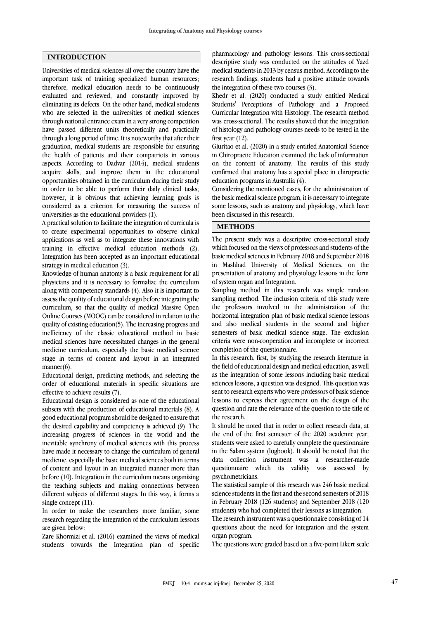#### **INTRODUCTION**

Universities of medical sciences all over the country have the important task of training specialized human resources; therefore, medical education needs to be continuously evaluated and reviewed, and constantly improved by eliminating its defects. On the other hand, medical students who are selected in the universities of medical sciences through national entrance exam in a very strong competition have passed different units theoretically and practically through a long period of time. It is noteworthy that after their graduation, medical students are responsible for ensuring the health of patients and their compatriots in various aspects. According to Dadvar (2014), medical students acquire skills, and improve them in the educational opportunities obtained in the curriculum during their study in order to be able to perform their daily clinical tasks; however, it is obvious that achieving learning goals is considered as a criterion for measuring the success of universities as the educational providers (1).

A practical solution to facilitate the integration of curricula is to create experimental opportunities to observe clinical applications as well as to integrate these innovations with training in effective medical education methods (2). Integration has been accepted as an important educational strategy in medical education (3).

Knowledge of human anatomy is a basic requirement for all physicians and it is necessary to formalize the curriculum along with competency standards (4). Also it is important to assess the quality of educational design before integrating the curriculum, so that the quality of medical Massive Open Online Courses (MOOC) can be considered in relation to the quality of existing education(5). The increasing progress and inefficiency of the classic educational method in basic medical sciences have necessitated changes in the general medicine curriculum, especially the basic medical science stage in terms of content and layout in an integrated manner(6).

Educational design, predicting methods, and selecting the order of educational materials in specific situations are effective to achieve results (7).

Educational design is considered as one of the educational subsets with the production of educational materials (8). A good educational program should be designed to ensure that the desired capability and competency is achieved (9). The increasing progress of sciences in the world and the inevitable synchrony of medical sciences with this process have made it necessary to change the curriculum of general medicine, especially the basic medical sciences both in terms of content and layout in an integrated manner more than before (10). Integration in the curriculum means organizing the teaching subjects and making connections between different subjects of different stages. In this way, it forms a single concept (11).

In order to make the researchers more familiar, some research regarding the integration of the curriculum lessons are given below:

Zare Khormizi et al. (2016) examined the views of medical students towards the Integration plan of specific pharmacology and pathology lessons. This cross-sectional descriptive study was conducted on the attitudes of Yazd medical students in 2013 by census method. According to the research findings, students had a positive attitude towards the integration of these two courses (3).

Khedr et al. (2020) conducted a study entitled Medical Students' Perceptions of Pathology and a Proposed Curricular Integration with Histology. The research method was cross-sectional. The results showed that the integration of histology and pathology courses needs to be tested in the first year  $(12)$ .

Giuritao et al. (2020) in a study entitled Anatomical Science in Chiropractic Education examined the lack of information on the content of anatomy. The results of this study confirmed that anatomy has a special place in chiropractic education programs in Australia (4).

Considering the mentioned cases, for the administration of the basic medical science program, it is necessary to integrate some lessons, such as anatomy and physiology, which have been discussed in this research.

### **METHODS**

The present study was a descriptive cross-sectional study which focused on the views of professors and students of the basic medical sciences in February 2018 and September 2018 in Mashhad University of Medical Sciences, on the presentation of anatomy and physiology lessons in the form of system organ and Integration.

Sampling method in this research was simple random sampling method. The inclusion criteria of this study were the professors involved in the administration of the horizontal integration plan of basic medical science lessons and also medical students in the second and higher semesters of basic medical science stage. The exclusion criteria were non-cooperation and incomplete or incorrect completion of the questionnaire.

In this research, first, by studying the research literature in the field of educational design and medical education, as well as the integration of some lessons including basic medical sciences lessons, a question was designed. This question was sent to research experts who were professors of basic science lessons to express their agreement on the design of the question and rate the relevance of the question to the title of the research.

It should be noted that in order to collect research data, at the end of the first semester of the 2020 academic year, students were asked to carefully complete the questionnaire in the Salam system (logbook). It should be noted that the data collection instrument was a researcher-made questionnaire which its validity was assessed by psychometricians.

The statistical sample of this research was 246 basic medical science students in the first and the second semesters of 2018 in February 2018 (126 students) and September 2018 (120 students) who had completed their lessons as integration.

The research instrument was a questionnaire consisting of 14 questions about the need for integration and the system organ program.

The questions were graded based on a five-point Likert scale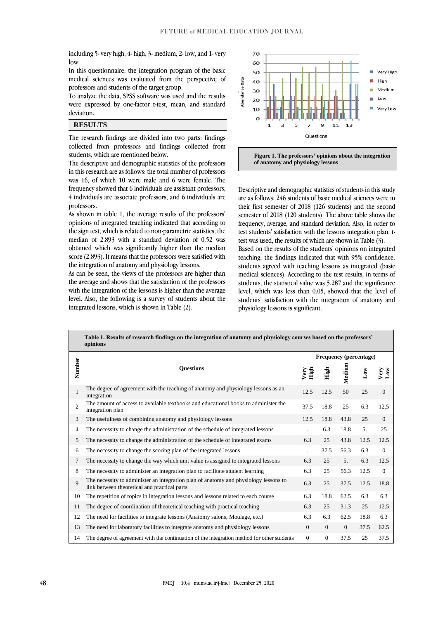including 5- very high, 4- high, 3- medium, 2- low, and 1- very low.

In this questionnaire, the integration program of the basic medical sciences was evaluated from the perspective of professors and students of the target group.

To analyze the data, SPSS software was used and the results were expressed by one-factor t-test, mean, and standard deviation.

# **RESULTS**

The research findings are divided into two parts: findings collected from professors and findings collected from students, which are mentioned below.

The descriptive and demographic statistics of the professors in this research are as follows: the total number of professors was 16, of which 10 were male and 6 were female. The frequency showed that 6 individuals are assistant professors, 4 individuals are associate professors, and 6 individuals are professors.

As shown in table 1, the average results of the professors' opinions of integrated teaching indicated that according to the sign test, which is related to non-parametric statistics, the median of 2.893 with a standard deviation of 0.52 was obtained which was significantly higher than the median score (2.893). It means that the professors were satisfied with the integration of anatomy and physiology lessons.

As can be seen, the views of the professors are higher than the average and shows that the satisfaction of the professors with the integration of the lessons is higher than the average level. Also, the following is a survey of students about the integrated lessons, which is shown in Table (2).



**Figure 1. The professors' opinions about the integration of anatomy and physiology lessons**

Descriptive and demographic statistics of students in this study are as follows: 246 students of basic medical sciences were in their first semester of 2018 (126 students) and the second semester of 2018 (120 students). The above table shows the frequency, average, and standard deviation. Also, in order to test students' satisfaction with the lessons integration plan, ttest was used, the results of which are shown in Table (3).

Based on the results of the students' opinions on integrated teaching, the findings indicated that with 95% confidence, students agreed with teaching lessons as integrated (basic medical sciences). According to the test results, in terms of students, the statistical value was 5.287 and the significance level, which was less than 0.05, showed that the level of students' satisfaction with the integration of anatomy and physiology lessons is significant.

|                | Table 1. Results of research findings on the integration of anatomy and physiology courses based on the professors'<br>opinions      |              |                               |                |                |                      |  |  |  |
|----------------|--------------------------------------------------------------------------------------------------------------------------------------|--------------|-------------------------------|----------------|----------------|----------------------|--|--|--|
|                |                                                                                                                                      |              | <b>Frequency (percentage)</b> |                |                |                      |  |  |  |
| Number         | <b>Ouestions</b>                                                                                                                     | Very<br>High | High                          | Medium         | $\mathbf{Low}$ | Very<br>$\mathbf{M}$ |  |  |  |
| 1              | The degree of agreement with the teaching of anatomy and physiology lessons as an<br>integration                                     | 12.5         | 12.5                          | 50             | 25             | $\overline{0}$       |  |  |  |
| $\overline{2}$ | The amount of access to available textbooks and educational books to administer the<br>integration plan                              | 37.5         | 18.8                          | 25             | 6.3            | 12.5                 |  |  |  |
| 3              | The usefulness of combining anatomy and physiology lessons                                                                           | 12.5         | 18.8                          | 43.8           | 25             | $\mathbf{0}$         |  |  |  |
| $\overline{4}$ | The necessity to change the administration of the schedule of integrated lessons                                                     |              | 6.3                           | 18.8           | 5.             | 25                   |  |  |  |
| 5              | The necessity to change the administration of the schedule of integrated exams                                                       | 6.3          | 25                            | 43.8           | 12.5           | 12.5                 |  |  |  |
| 6              | The necessity to change the scoring plan of the integrated lessons                                                                   |              | 37.5                          | 56.3           | 6.3            | $\mathbf{0}$         |  |  |  |
| 7              | The necessity to change the way which unit value is assigned to integrated lessons                                                   | 6.3          | 25                            | 5.             | 6.3            | 12.5                 |  |  |  |
| 8              | The necessity to administer an integration plan to facilitate student learning                                                       | 6.3          | 25                            | 56.3           | 12.5           | $\mathbf{0}$         |  |  |  |
| $\mathbf Q$    | The necessity to administer an integration plan of anatomy and physiology lessons to<br>link between theoretical and practical parts | 6.3          | 25                            | 37.5           | 12.5           | 18.8                 |  |  |  |
| 10             | The repetition of topics in integration lessons and lessons related to each course                                                   | 6.3          | 18.8                          | 62.5           | 6.3            | 6.3                  |  |  |  |
| 11             | The degree of coordination of theoretical teaching with practical teaching                                                           | 6.3          | 25                            | 31.3           | 25             | 12.5                 |  |  |  |
| 12             | The need for facilities to integrate lessons (Anatomy salons, Moulage, etc.)                                                         | 6.3          | 6.3                           | 62.5           | 18.8           | 6.3                  |  |  |  |
| 13             | The need for laboratory facilities to integrate anatomy and physiology lessons                                                       | $\Omega$     | $\overline{0}$                | $\overline{0}$ | 37.5           | 62.5                 |  |  |  |
| 14             | The degree of agreement with the continuation of the integration method for other students                                           | $\mathbf{0}$ | $\mathbf{0}$                  | 37.5           | 25             | 37.5                 |  |  |  |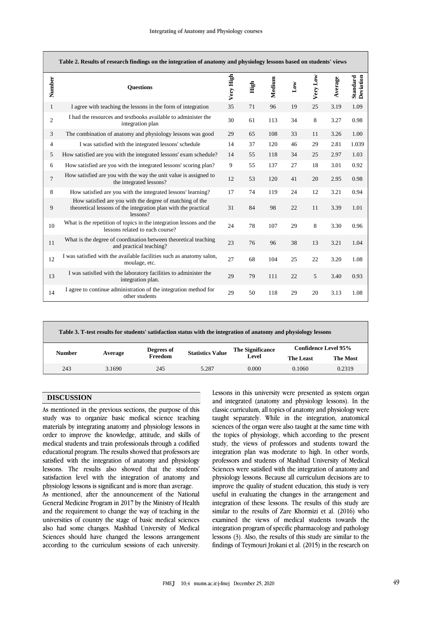| Table 2. Results of research findings on the integration of anatomy and physiology lessons based on students' views |                                                                                                                                        |           |      |        |              |          |         |                       |  |
|---------------------------------------------------------------------------------------------------------------------|----------------------------------------------------------------------------------------------------------------------------------------|-----------|------|--------|--------------|----------|---------|-----------------------|--|
| Number                                                                                                              | <b>Ouestions</b>                                                                                                                       | Very High | High | Medium | $_{\rm Low}$ | Very Low | Average | Deviation<br>Standard |  |
| $\mathbf{1}$                                                                                                        | I agree with teaching the lessons in the form of integration                                                                           | 35        | 71   | 96     | 19           | 25       | 3.19    | 1.09                  |  |
| $\overline{c}$                                                                                                      | I had the resources and textbooks available to administer the<br>integration plan                                                      | 30        | 61   | 113    | 34           | 8        | 3.27    | 0.98                  |  |
| 3                                                                                                                   | The combination of anatomy and physiology lessons was good                                                                             | 29        | 65   | 108    | 33           | 11       | 3.26    | 1.00                  |  |
| $\overline{4}$                                                                                                      | I was satisfied with the integrated lessons' schedule                                                                                  | 14        | 37   | 120    | 46           | 29       | 2.81    | 1.039                 |  |
| 5                                                                                                                   | How satisfied are you with the integrated lessons' exam schedule?                                                                      | 14        | 55   | 118    | 34           | 25       | 2.97    | 1.03                  |  |
| 6                                                                                                                   | How satisfied are you with the integrated lessons' scoring plan?                                                                       | 9         | 55   | 137    | 27           | 18       | 3.01    | 0.92                  |  |
| $\overline{7}$                                                                                                      | How satisfied are you with the way the unit value is assigned to<br>the integrated lessons?                                            | 12        | 53   | 120    | 41           | 20       | 2.95    | 0.98                  |  |
| 8                                                                                                                   | How satisfied are you with the integrated lessons' learning?                                                                           | 17        | 74   | 119    | 24           | 12       | 3.21    | 0.94                  |  |
| 9                                                                                                                   | How satisfied are you with the degree of matching of the<br>theoretical lessons of the integration plan with the practical<br>lessons? | 31        | 84   | 98     | 22           | 11       | 3.39    | 1.01                  |  |
| 10                                                                                                                  | What is the repetition of topics in the integration lessons and the<br>lessons related to each course?                                 | 24        | 78   | 107    | 29           | 8        | 3.30    | 0.96                  |  |
| 11                                                                                                                  | What is the degree of coordination between theoretical teaching<br>and practical teaching?                                             | 23        | 76   | 96     | 38           | 13       | 3.21    | 1.04                  |  |
| 12                                                                                                                  | I was satisfied with the available facilities such as anatomy salon,<br>moulage, etc.                                                  | 27        | 68   | 104    | 25           | 22       | 3.20    | 1.08                  |  |
| 13                                                                                                                  | I was satisfied with the laboratory facilities to administer the<br>integration plan.                                                  | 29        | 79   | 111    | 22           | 5        | 3.40    | 0.93                  |  |
| 14                                                                                                                  | I agree to continue administration of the integration method for<br>other students                                                     | 29        | 50   | 118    | 29           | 20       | 3.13    | 1.08                  |  |

| Table 3. T-test results for students' satisfaction status with the integration of anatomy and physiology lessons |         |            |                         |                                  |                             |                 |  |  |  |  |
|------------------------------------------------------------------------------------------------------------------|---------|------------|-------------------------|----------------------------------|-----------------------------|-----------------|--|--|--|--|
| <b>Number</b>                                                                                                    | Average | Degrees of | <b>Statistics Value</b> | <b>The Significance</b><br>Level | <b>Confidence Level 95%</b> |                 |  |  |  |  |
|                                                                                                                  |         | Freedom    |                         |                                  | The Least                   | <b>The Most</b> |  |  |  |  |
| 243                                                                                                              | 3.1690  | 245        | 5.287                   | 0.000                            | 0.1060                      | 0.2319          |  |  |  |  |
|                                                                                                                  |         |            |                         |                                  |                             |                 |  |  |  |  |

# **DISCUSSION**

As mentioned in the previous sections, the purpose of this study was to organize basic medical science teaching materials by integrating anatomy and physiology lessons in order to improve the knowledge, attitude, and skills of medical students and train professionals through a codified educational program. The results showed that professors are satisfied with the integration of anatomy and physiology lessons. The results also showed that the students' satisfaction level with the integration of anatomy and physiology lessons is significant and is more than average.

As mentioned, after the announcement of the National General Medicine Program in 2017 by the Ministry of Health and the requirement to change the way of teaching in the universities of country the stage of basic medical sciences also had some changes. Mashhad University of Medical Sciences should have changed the lessons arrangement according to the curriculum sessions of each university. Lessons in this university were presented as system organ and integrated (anatomy and physiology lessons). In the classic curriculum, all topics of anatomy and physiology were taught separately. While in the integration, anatomical sciences of the organ were also taught at the same time with the topics of physiology, which according to the present study, the views of professors and students toward the integration plan was moderate to high. In other words, professors and students of Mashhad University of Medical Sciences were satisfied with the integration of anatomy and physiology lessons. Because all curriculum decisions are to improve the quality of student education, this study is very useful in evaluating the changes in the arrangement and integration of these lessons. The results of this study are similar to the results of Zare Khormizi et al. (2016) who examined the views of medical students towards the integration program of specific pharmacology and pathology lessons (3). Also, the results of this study are similar to the findings of Teymouri Jrokani et al. (2015) in the research on